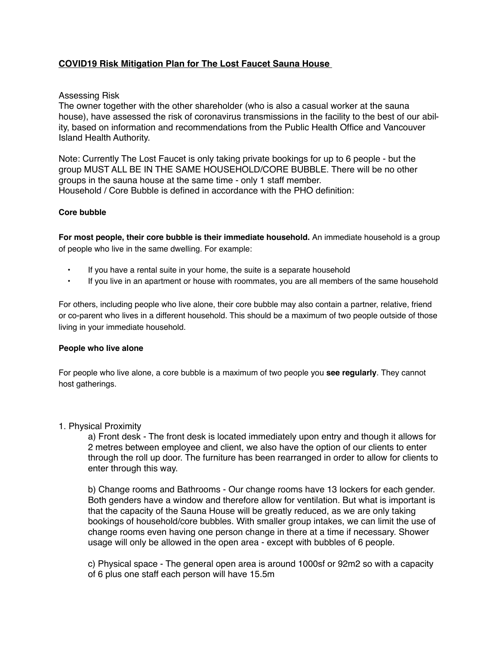## **COVID19 Risk Mitigation Plan for The Lost Faucet Sauna House**

### Assessing Risk

The owner together with the other shareholder (who is also a casual worker at the sauna house), have assessed the risk of coronavirus transmissions in the facility to the best of our ability, based on information and recommendations from the Public Health Office and Vancouver Island Health Authority.

Note: Currently The Lost Faucet is only taking private bookings for up to 6 people - but the group MUST ALL BE IN THE SAME HOUSEHOLD/CORE BUBBLE. There will be no other groups in the sauna house at the same time - only 1 staff member. Household / Core Bubble is defined in accordance with the PHO definition:

#### **Core bubble**

**For most people, their core bubble is their immediate household.** An immediate household is a group of people who live in the same dwelling. For example:

- If you have a rental suite in your home, the suite is a separate household
- If you live in an apartment or house with roommates, you are all members of the same household

For others, including people who live alone, their core bubble may also contain a partner, relative, friend or co-parent who lives in a different household. This should be a maximum of two people outside of those living in your immediate household.

#### **People who live alone**

For people who live alone, a core bubble is a maximum of two people you **see regularly**. They cannot host gatherings.

#### 1. Physical Proximity

a) Front desk - The front desk is located immediately upon entry and though it allows for 2 metres between employee and client, we also have the option of our clients to enter through the roll up door. The furniture has been rearranged in order to allow for clients to enter through this way.

b) Change rooms and Bathrooms - Our change rooms have 13 lockers for each gender. Both genders have a window and therefore allow for ventilation. But what is important is that the capacity of the Sauna House will be greatly reduced, as we are only taking bookings of household/core bubbles. With smaller group intakes, we can limit the use of change rooms even having one person change in there at a time if necessary. Shower usage will only be allowed in the open area - except with bubbles of 6 people.

c) Physical space - The general open area is around 1000sf or 92m2 so with a capacity of 6 plus one staff each person will have 15.5m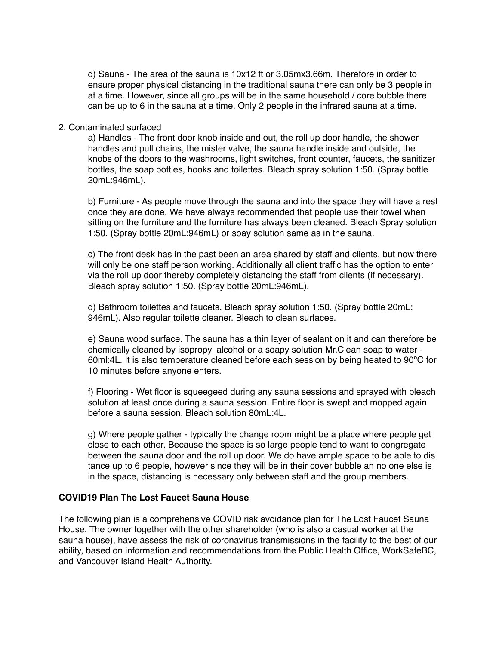d) Sauna - The area of the sauna is 10x12 ft or 3.05mx3.66m. Therefore in order to ensure proper physical distancing in the traditional sauna there can only be 3 people in at a time. However, since all groups will be in the same household / core bubble there can be up to 6 in the sauna at a time. Only 2 people in the infrared sauna at a time.

#### 2. Contaminated surfaced

a) Handles - The front door knob inside and out, the roll up door handle, the shower handles and pull chains, the mister valve, the sauna handle inside and outside, the knobs of the doors to the washrooms, light switches, front counter, faucets, the sanitizer bottles, the soap bottles, hooks and toilettes. Bleach spray solution 1:50. (Spray bottle 20mL:946mL).

b) Furniture - As people move through the sauna and into the space they will have a rest once they are done. We have always recommended that people use their towel when sitting on the furniture and the furniture has always been cleaned. Bleach Spray solution 1:50. (Spray bottle 20mL:946mL) or soay solution same as in the sauna.

c) The front desk has in the past been an area shared by staff and clients, but now there will only be one staff person working. Additionally all client traffic has the option to enter via the roll up door thereby completely distancing the staff from clients (if necessary). Bleach spray solution 1:50. (Spray bottle 20mL:946mL).

d) Bathroom toilettes and faucets. Bleach spray solution 1:50. (Spray bottle 20mL: 946mL). Also regular toilette cleaner. Bleach to clean surfaces.

e) Sauna wood surface. The sauna has a thin layer of sealant on it and can therefore be chemically cleaned by isopropyl alcohol or a soapy solution Mr.Clean soap to water - 60ml:4L. It is also temperature cleaned before each session by being heated to 90ºC for 10 minutes before anyone enters.

f) Flooring - Wet floor is squeegeed during any sauna sessions and sprayed with bleach solution at least once during a sauna session. Entire floor is swept and mopped again before a sauna session. Bleach solution 80mL:4L.

g) Where people gather - typically the change room might be a place where people get close to each other. Because the space is so large people tend to want to congregate between the sauna door and the roll up door. We do have ample space to be able to dis tance up to 6 people, however since they will be in their cover bubble an no one else is in the space, distancing is necessary only between staff and the group members.

### **COVID19 Plan The Lost Faucet Sauna House**

The following plan is a comprehensive COVID risk avoidance plan for The Lost Faucet Sauna House. The owner together with the other shareholder (who is also a casual worker at the sauna house), have assess the risk of coronavirus transmissions in the facility to the best of our ability, based on information and recommendations from the Public Health Office, WorkSafeBC, and Vancouver Island Health Authority.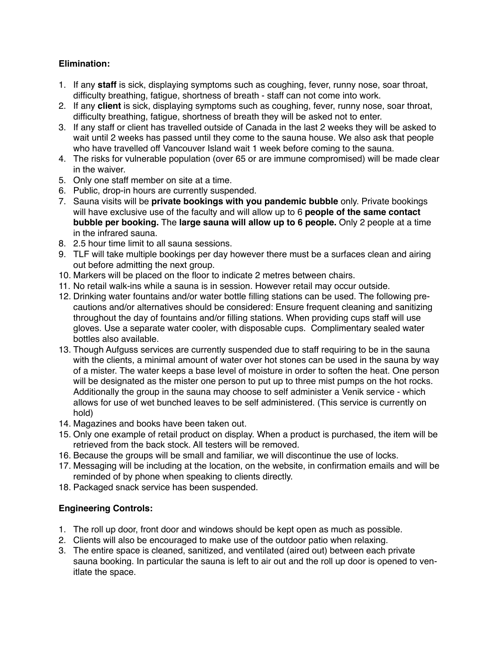## **Elimination:**

- 1. If any **staff** is sick, displaying symptoms such as coughing, fever, runny nose, soar throat, difficulty breathing, fatigue, shortness of breath - staff can not come into work.
- 2. If any **client** is sick, displaying symptoms such as coughing, fever, runny nose, soar throat, difficulty breathing, fatigue, shortness of breath they will be asked not to enter.
- 3. If any staff or client has travelled outside of Canada in the last 2 weeks they will be asked to wait until 2 weeks has passed until they come to the sauna house. We also ask that people who have travelled off Vancouver Island wait 1 week before coming to the sauna.
- 4. The risks for vulnerable population (over 65 or are immune compromised) will be made clear in the waiver.
- 5. Only one staff member on site at a time.
- 6. Public, drop-in hours are currently suspended.
- 7. Sauna visits will be **private bookings with you pandemic bubble** only. Private bookings will have exclusive use of the faculty and will allow up to 6 **people of the same contact bubble per booking.** The **large sauna will allow up to 6 people.** Only 2 people at a time in the infrared sauna.
- 8. 2.5 hour time limit to all sauna sessions.
- 9. TLF will take multiple bookings per day however there must be a surfaces clean and airing out before admitting the next group.
- 10. Markers will be placed on the floor to indicate 2 metres between chairs.
- 11. No retail walk-ins while a sauna is in session. However retail may occur outside.
- 12. Drinking water fountains and/or water bottle filling stations can be used. The following precautions and/or alternatives should be considered: Ensure frequent cleaning and sanitizing throughout the day of fountains and/or filling stations. When providing cups staff will use gloves. Use a separate water cooler, with disposable cups. Complimentary sealed water bottles also available.
- 13. Though Aufguss services are currently suspended due to staff requiring to be in the sauna with the clients, a minimal amount of water over hot stones can be used in the sauna by way of a mister. The water keeps a base level of moisture in order to soften the heat. One person will be designated as the mister one person to put up to three mist pumps on the hot rocks. Additionally the group in the sauna may choose to self administer a Venik service - which allows for use of wet bunched leaves to be self administered. (This service is currently on hold)
- 14. Magazines and books have been taken out.
- 15. Only one example of retail product on display. When a product is purchased, the item will be retrieved from the back stock. All testers will be removed.
- 16. Because the groups will be small and familiar, we will discontinue the use of locks.
- 17. Messaging will be including at the location, on the website, in confirmation emails and will be reminded of by phone when speaking to clients directly.
- 18. Packaged snack service has been suspended.

## **Engineering Controls:**

- 1. The roll up door, front door and windows should be kept open as much as possible.
- 2. Clients will also be encouraged to make use of the outdoor patio when relaxing.
- 3. The entire space is cleaned, sanitized, and ventilated (aired out) between each private sauna booking. In particular the sauna is left to air out and the roll up door is opened to venitlate the space.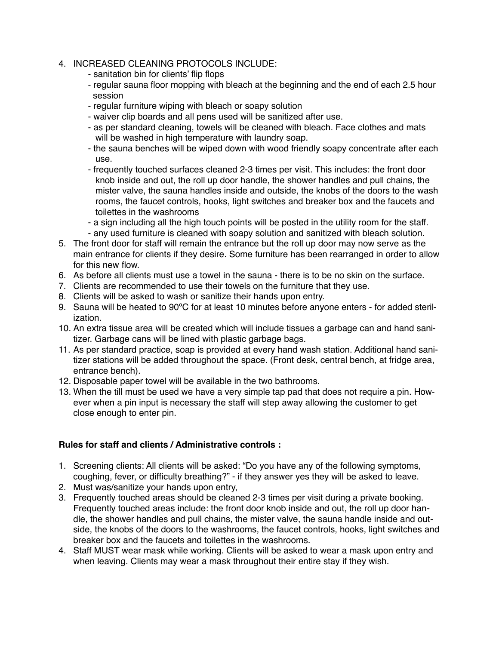## 4. INCREASED CLEANING PROTOCOLS INCLUDE:

- sanitation bin for clients' flip flops
- regular sauna floor mopping with bleach at the beginning and the end of each 2.5 hour session
- regular furniture wiping with bleach or soapy solution
- waiver clip boards and all pens used will be sanitized after use.
- as per standard cleaning, towels will be cleaned with bleach. Face clothes and mats will be washed in high temperature with laundry soap.
- the sauna benches will be wiped down with wood friendly soapy concentrate after each use.
- frequently touched surfaces cleaned 2-3 times per visit. This includes: the front door knob inside and out, the roll up door handle, the shower handles and pull chains, the mister valve, the sauna handles inside and outside, the knobs of the doors to the wash rooms, the faucet controls, hooks, light switches and breaker box and the faucets and toilettes in the washrooms
- a sign including all the high touch points will be posted in the utility room for the staff.
- any used furniture is cleaned with soapy solution and sanitized with bleach solution.
- 5. The front door for staff will remain the entrance but the roll up door may now serve as the main entrance for clients if they desire. Some furniture has been rearranged in order to allow for this new flow.
- 6. As before all clients must use a towel in the sauna there is to be no skin on the surface.
- 7. Clients are recommended to use their towels on the furniture that they use.
- 8. Clients will be asked to wash or sanitize their hands upon entry.
- 9. Sauna will be heated to 90ºC for at least 10 minutes before anyone enters for added sterilization.
- 10. An extra tissue area will be created which will include tissues a garbage can and hand sanitizer. Garbage cans will be lined with plastic garbage bags.
- 11. As per standard practice, soap is provided at every hand wash station. Additional hand sanitizer stations will be added throughout the space. (Front desk, central bench, at fridge area, entrance bench).
- 12. Disposable paper towel will be available in the two bathrooms.
- 13. When the till must be used we have a very simple tap pad that does not require a pin. However when a pin input is necessary the staff will step away allowing the customer to get close enough to enter pin.

## **Rules for staff and clients / Administrative controls :**

- 1. Screening clients: All clients will be asked: "Do you have any of the following symptoms, coughing, fever, or difficulty breathing?" - if they answer yes they will be asked to leave.
- 2. Must was/sanitize your hands upon entry,
- 3. Frequently touched areas should be cleaned 2-3 times per visit during a private booking. Frequently touched areas include: the front door knob inside and out, the roll up door handle, the shower handles and pull chains, the mister valve, the sauna handle inside and outside, the knobs of the doors to the washrooms, the faucet controls, hooks, light switches and breaker box and the faucets and toilettes in the washrooms.
- 4. Staff MUST wear mask while working. Clients will be asked to wear a mask upon entry and when leaving. Clients may wear a mask throughout their entire stay if they wish.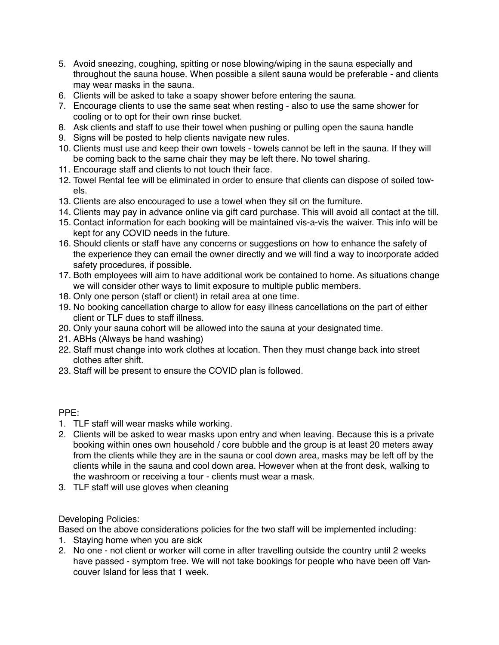- 5. Avoid sneezing, coughing, spitting or nose blowing/wiping in the sauna especially and throughout the sauna house. When possible a silent sauna would be preferable - and clients may wear masks in the sauna.
- 6. Clients will be asked to take a soapy shower before entering the sauna.
- 7. Encourage clients to use the same seat when resting also to use the same shower for cooling or to opt for their own rinse bucket.
- 8. Ask clients and staff to use their towel when pushing or pulling open the sauna handle
- 9. Signs will be posted to help clients navigate new rules.
- 10. Clients must use and keep their own towels towels cannot be left in the sauna. If they will be coming back to the same chair they may be left there. No towel sharing.
- 11. Encourage staff and clients to not touch their face.
- 12. Towel Rental fee will be eliminated in order to ensure that clients can dispose of soiled towels.
- 13. Clients are also encouraged to use a towel when they sit on the furniture.
- 14. Clients may pay in advance online via gift card purchase. This will avoid all contact at the till.
- 15. Contact information for each booking will be maintained vis-a-vis the waiver. This info will be kept for any COVID needs in the future.
- 16. Should clients or staff have any concerns or suggestions on how to enhance the safety of the experience they can email the owner directly and we will find a way to incorporate added safety procedures, if possible.
- 17. Both employees will aim to have additional work be contained to home. As situations change we will consider other ways to limit exposure to multiple public members.
- 18. Only one person (staff or client) in retail area at one time.
- 19. No booking cancellation charge to allow for easy illness cancellations on the part of either client or TLF dues to staff illness.
- 20. Only your sauna cohort will be allowed into the sauna at your designated time.
- 21. ABHs (Always be hand washing)
- 22. Staff must change into work clothes at location. Then they must change back into street clothes after shift.
- 23. Staff will be present to ensure the COVID plan is followed.

## PPE:

- 1. TLF staff will wear masks while working.
- 2. Clients will be asked to wear masks upon entry and when leaving. Because this is a private booking within ones own household / core bubble and the group is at least 20 meters away from the clients while they are in the sauna or cool down area, masks may be left off by the clients while in the sauna and cool down area. However when at the front desk, walking to the washroom or receiving a tour - clients must wear a mask.
- 3. TLF staff will use gloves when cleaning

# Developing Policies:

Based on the above considerations policies for the two staff will be implemented including:

- 1. Staying home when you are sick
- 2. No one not client or worker will come in after travelling outside the country until 2 weeks have passed - symptom free. We will not take bookings for people who have been off Vancouver Island for less that 1 week.